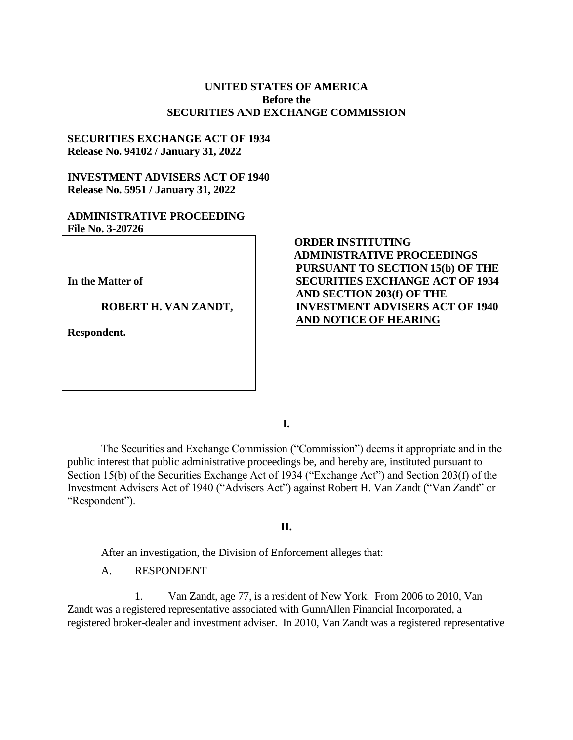## **UNITED STATES OF AMERICA Before the SECURITIES AND EXCHANGE COMMISSION**

## **SECURITIES EXCHANGE ACT OF 1934 Release No. 94102 / January 31, 2022**

# **INVESTMENT ADVISERS ACT OF 1940 Release No. 5951 / January 31, 2022**

# **ADMINISTRATIVE PROCEEDING File No. 3-20726**

**In the Matter of**

**ROBERT H. VAN ZANDT,** 

**Respondent.**

# **ORDER INSTITUTING ADMINISTRATIVE PROCEEDINGS PURSUANT TO SECTION 15(b) OF THE SECURITIES EXCHANGE ACT OF 1934 AND SECTION 203(f) OF THE INVESTMENT ADVISERS ACT OF 1940 AND NOTICE OF HEARING**

**I.**

The Securities and Exchange Commission ("Commission") deems it appropriate and in the public interest that public administrative proceedings be, and hereby are, instituted pursuant to Section 15(b) of the Securities Exchange Act of 1934 ("Exchange Act") and Section 203(f) of the Investment Advisers Act of 1940 ("Advisers Act") against Robert H. Van Zandt ("Van Zandt" or "Respondent").

## **II.**

After an investigation, the Division of Enforcement alleges that:

### A. RESPONDENT

1. Van Zandt, age 77, is a resident of New York. From 2006 to 2010, Van Zandt was a registered representative associated with GunnAllen Financial Incorporated, a registered broker-dealer and investment adviser. In 2010, Van Zandt was a registered representative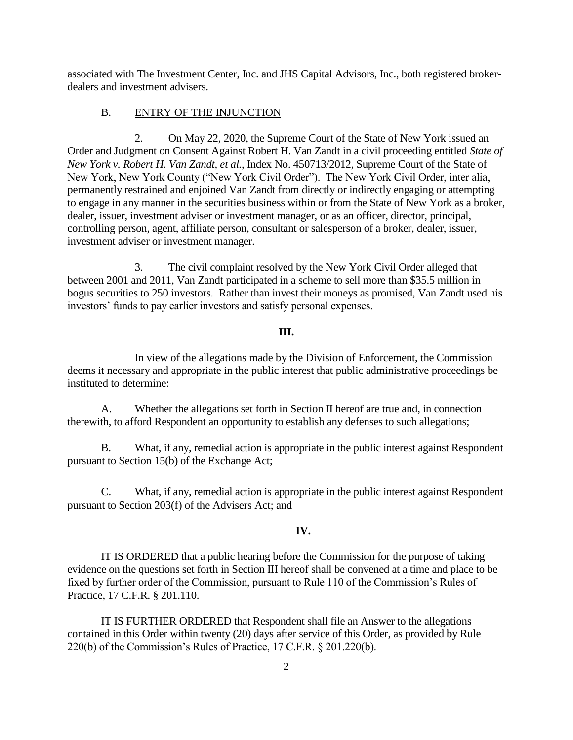associated with The Investment Center, Inc. and JHS Capital Advisors, Inc., both registered brokerdealers and investment advisers.

## B. ENTRY OF THE INJUNCTION

2. On May 22, 2020, the Supreme Court of the State of New York issued an Order and Judgment on Consent Against Robert H. Van Zandt in a civil proceeding entitled *State of New York v. Robert H. Van Zandt, et al.*, Index No. 450713/2012, Supreme Court of the State of New York, New York County ("New York Civil Order"). The New York Civil Order, inter alia, permanently restrained and enjoined Van Zandt from directly or indirectly engaging or attempting to engage in any manner in the securities business within or from the State of New York as a broker, dealer, issuer, investment adviser or investment manager, or as an officer, director, principal, controlling person, agent, affiliate person, consultant or salesperson of a broker, dealer, issuer, investment adviser or investment manager.

3. The civil complaint resolved by the New York Civil Order alleged that between 2001 and 2011, Van Zandt participated in a scheme to sell more than \$35.5 million in bogus securities to 250 investors. Rather than invest their moneys as promised, Van Zandt used his investors' funds to pay earlier investors and satisfy personal expenses.

#### **III.**

In view of the allegations made by the Division of Enforcement, the Commission deems it necessary and appropriate in the public interest that public administrative proceedings be instituted to determine:

A. Whether the allegations set forth in Section II hereof are true and, in connection therewith, to afford Respondent an opportunity to establish any defenses to such allegations;

B. What, if any, remedial action is appropriate in the public interest against Respondent pursuant to Section 15(b) of the Exchange Act;

C. What, if any, remedial action is appropriate in the public interest against Respondent pursuant to Section 203(f) of the Advisers Act; and

# **IV.**

IT IS ORDERED that a public hearing before the Commission for the purpose of taking evidence on the questions set forth in Section III hereof shall be convened at a time and place to be fixed by further order of the Commission, pursuant to Rule 110 of the Commission's Rules of Practice, 17 C.F.R. § 201.110.

IT IS FURTHER ORDERED that Respondent shall file an Answer to the allegations contained in this Order within twenty (20) days after service of this Order, as provided by Rule 220(b) of the Commission's Rules of Practice, 17 C.F.R. § 201.220(b).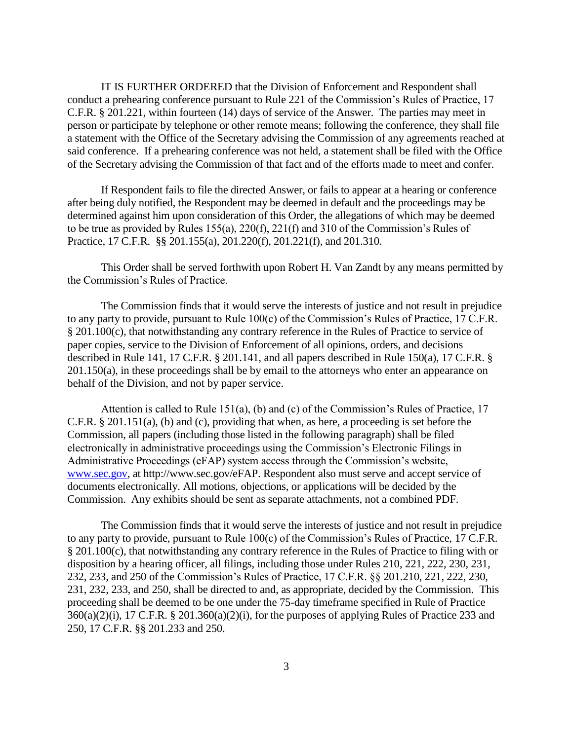IT IS FURTHER ORDERED that the Division of Enforcement and Respondent shall conduct a prehearing conference pursuant to Rule 221 of the Commission's Rules of Practice, 17 C.F.R. § 201.221, within fourteen (14) days of service of the Answer. The parties may meet in person or participate by telephone or other remote means; following the conference, they shall file a statement with the Office of the Secretary advising the Commission of any agreements reached at said conference. If a prehearing conference was not held, a statement shall be filed with the Office of the Secretary advising the Commission of that fact and of the efforts made to meet and confer.

If Respondent fails to file the directed Answer, or fails to appear at a hearing or conference after being duly notified, the Respondent may be deemed in default and the proceedings may be determined against him upon consideration of this Order, the allegations of which may be deemed to be true as provided by Rules 155(a), 220(f), 221(f) and 310 of the Commission's Rules of Practice, 17 C.F.R. §§ 201.155(a), 201.220(f), 201.221(f), and 201.310.

This Order shall be served forthwith upon Robert H. Van Zandt by any means permitted by the Commission's Rules of Practice.

The Commission finds that it would serve the interests of justice and not result in prejudice to any party to provide, pursuant to Rule 100(c) of the Commission's Rules of Practice, 17 C.F.R. § 201.100(c), that notwithstanding any contrary reference in the Rules of Practice to service of paper copies, service to the Division of Enforcement of all opinions, orders, and decisions described in Rule 141, 17 C.F.R. § 201.141, and all papers described in Rule 150(a), 17 C.F.R. § 201.150(a), in these proceedings shall be by email to the attorneys who enter an appearance on behalf of the Division, and not by paper service.

Attention is called to Rule 151(a), (b) and (c) of the Commission's Rules of Practice, 17 C.F.R. § 201.151(a), (b) and (c), providing that when, as here, a proceeding is set before the Commission, all papers (including those listed in the following paragraph) shall be filed electronically in administrative proceedings using the Commission's Electronic Filings in Administrative Proceedings (eFAP) system access through the Commission's website, [www.sec.gov,](http://www.sec.gov/) at http://www.sec.gov/eFAP. Respondent also must serve and accept service of documents electronically. All motions, objections, or applications will be decided by the Commission. Any exhibits should be sent as separate attachments, not a combined PDF.

The Commission finds that it would serve the interests of justice and not result in prejudice to any party to provide, pursuant to Rule 100(c) of the Commission's Rules of Practice, 17 C.F.R. § 201.100(c), that notwithstanding any contrary reference in the Rules of Practice to filing with or disposition by a hearing officer, all filings, including those under Rules 210, 221, 222, 230, 231, 232, 233, and 250 of the Commission's Rules of Practice, 17 C.F.R. §§ 201.210, 221, 222, 230, 231, 232, 233, and 250, shall be directed to and, as appropriate, decided by the Commission. This proceeding shall be deemed to be one under the 75-day timeframe specified in Rule of Practice  $360(a)(2)(i)$ , 17 C.F.R. § 201.360(a)(2)(i), for the purposes of applying Rules of Practice 233 and 250, 17 C.F.R. §§ 201.233 and 250.